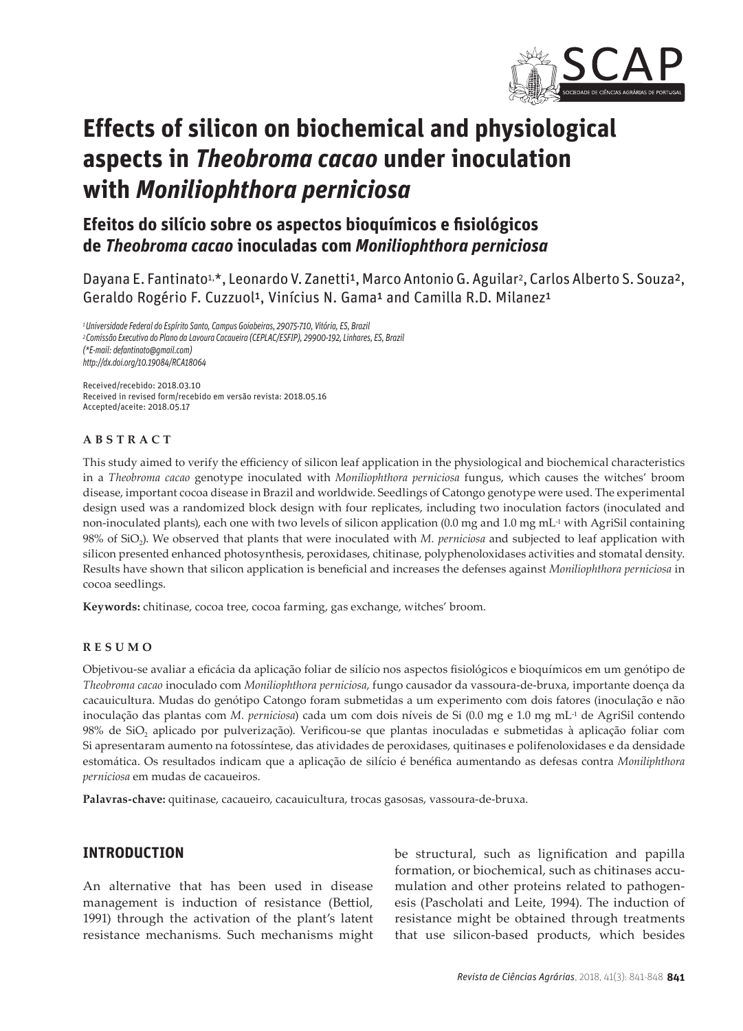

# **Effects of silicon on biochemical and physiological aspects in** *Theobroma cacao* **under inoculation with** *Moniliophthora perniciosa*

# **Efeitos do silício sobre os aspectos bioquímicos e fisiológicos de** *Theobroma cacao* **inoculadas com** *Moniliophthora perniciosa*

Dayana E. Fantinato<sup>1,\*</sup>, Leonardo V. Zanetti<sup>1</sup>, Marco Antonio G. Aguilar<sup>2</sup>, Carlos Alberto S. Souza<sup>2</sup>, Geraldo Rogério F. Cuzzuol<sup>1</sup>, Vinícius N. Gama<sup>1</sup> and Camilla R.D. Milanez<sup>1</sup>

*1 Universidade Federal do Espírito Santo, Campus Goiabeiras, 29075-710, Vitória, ES, Brazil 2 Comissão Executiva do Plano da Lavoura Cacaueira (CEPLAC/ESFIP), 29900-192, Linhares, ES, Brazil (\*E-mail: defantinato@gmail.com) http://dx.doi.org/10.19084/RCA18064*

Received/recebido: 2018.03.10 Received in revised form/recebido em versão revista: 2018.05.16 Accepted/aceite: 2018.05.17

#### **ABSTRACT**

This study aimed to verify the efficiency of silicon leaf application in the physiological and biochemical characteristics in a *Theobroma cacao* genotype inoculated with *Moniliophthora perniciosa* fungus, which causes the witches' broom disease, important cocoa disease in Brazil and worldwide. Seedlings of Catongo genotype were used. The experimental design used was a randomized block design with four replicates, including two inoculation factors (inoculated and non-inoculated plants), each one with two levels of silicon application (0.0 mg and 1.0 mg mL<sup>-1</sup> with AgriSil containing 98% of SiO<sub>2</sub>). We observed that plants that were inoculated with *M. perniciosa* and subjected to leaf application with silicon presented enhanced photosynthesis, peroxidases, chitinase, polyphenoloxidases activities and stomatal density. Results have shown that silicon application is beneficial and increases the defenses against *Moniliophthora perniciosa* in cocoa seedlings.

**Keywords:** chitinase, cocoa tree, cocoa farming, gas exchange, witches' broom.

#### **RESUMO**

Objetivou-se avaliar a eficácia da aplicação foliar de silício nos aspectos fisiológicos e bioquímicos em um genótipo de *Theobroma cacao* inoculado com *Moniliophthora perniciosa*, fungo causador da vassoura-de-bruxa, importante doença da cacauicultura. Mudas do genótipo Catongo foram submetidas a um experimento com dois fatores (inoculação e não inoculação das plantas com *M. perniciosa*) cada um com dois níveis de Si (0.0 mg e 1.0 mg mL-1 de AgriSil contendo 98% de SiO<sub>2</sub> aplicado por pulverização). Verificou-se que plantas inoculadas e submetidas à aplicação foliar com Si apresentaram aumento na fotossíntese, das atividades de peroxidases, quitinases e polifenoloxidases e da densidade estomática. Os resultados indicam que a aplicação de silício é benéfica aumentando as defesas contra *Moniliphthora perniciosa* em mudas de cacaueiros.

**Palavras-chave:** quitinase, cacaueiro, cacauicultura, trocas gasosas, vassoura-de-bruxa.

# **INTRODUCTION**

An alternative that has been used in disease management is induction of resistance (Bettiol, 1991) through the activation of the plant's latent resistance mechanisms. Such mechanisms might be structural, such as lignification and papilla formation, or biochemical, such as chitinases accumulation and other proteins related to pathogenesis (Pascholati and Leite, 1994). The induction of resistance might be obtained through treatments that use silicon-based products, which besides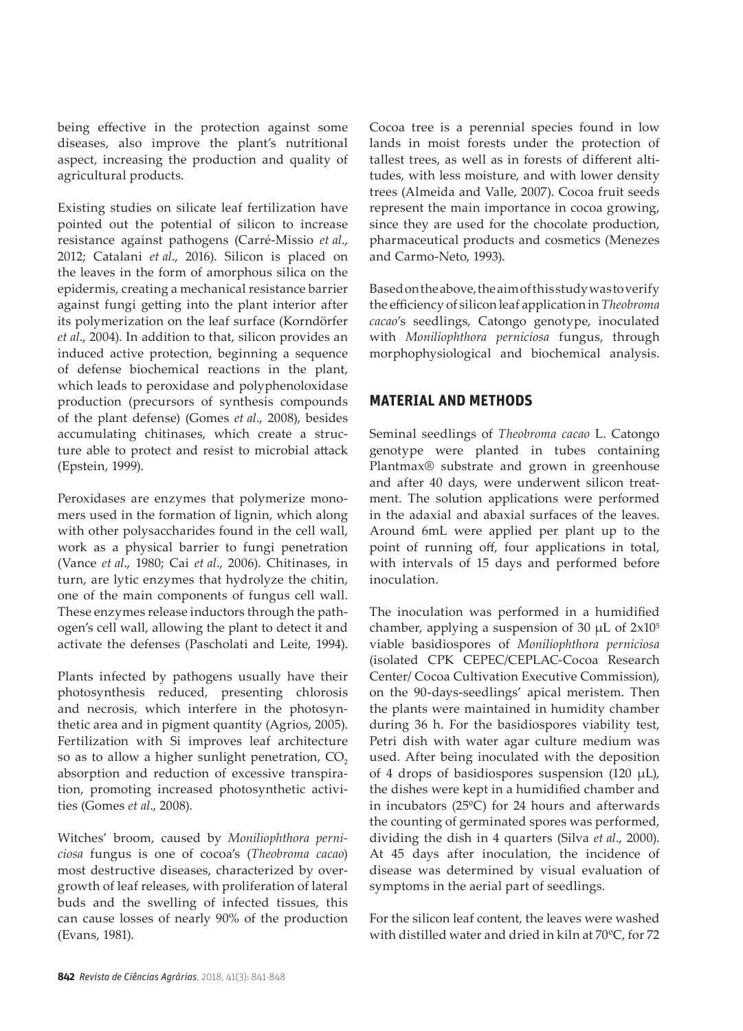being effective in the protection against some diseases, also improve the plant's nutritional aspect, increasing the production and quality of agricultural products.

Existing studies on silicate leaf fertilization have pointed out the potential of silicon to increase resistance against pathogens (Carré-Missio *et al*., 2012; Catalani *et al*., 2016). Silicon is placed on the leaves in the form of amorphous silica on the epidermis, creating a mechanical resistance barrier against fungi getting into the plant interior after its polymerization on the leaf surface (Korndörfer *et al*., 2004). In addition to that, silicon provides an induced active protection, beginning a sequence of defense biochemical reactions in the plant, which leads to peroxidase and polyphenoloxidase production (precursors of synthesis compounds of the plant defense) (Gomes *et al*., 2008), besides accumulating chitinases, which create a structure able to protect and resist to microbial attack (Epstein, 1999).

Peroxidases are enzymes that polymerize monomers used in the formation of lignin, which along with other polysaccharides found in the cell wall, work as a physical barrier to fungi penetration (Vance *et al*., 1980; Cai *et al*., 2006). Chitinases, in turn, are lytic enzymes that hydrolyze the chitin, one of the main components of fungus cell wall. These enzymes release inductors through the pathogen's cell wall, allowing the plant to detect it and activate the defenses (Pascholati and Leite, 1994).

Plants infected by pathogens usually have their photosynthesis reduced, presenting chlorosis and necrosis, which interfere in the photosynthetic area and in pigment quantity (Agrios, 2005). Fertilization with Si improves leaf architecture so as to allow a higher sunlight penetration,  $CO<sub>2</sub>$ absorption and reduction of excessive transpiration, promoting increased photosynthetic activities (Gomes *et al*., 2008).

Witches' broom, caused by *Moniliophthora perniciosa* fungus is one of cocoa's (*Theobroma cacao*) most destructive diseases, characterized by overgrowth of leaf releases, with proliferation of lateral buds and the swelling of infected tissues, this can cause losses of nearly 90% of the production (Evans, 1981).

Cocoa tree is a perennial species found in low lands in moist forests under the protection of tallest trees, as well as in forests of different altitudes, with less moisture, and with lower density trees (Almeida and Valle, 2007). Cocoa fruit seeds represent the main importance in cocoa growing, since they are used for the chocolate production, pharmaceutical products and cosmetics (Menezes and Carmo-Neto, 1993).

Based on the above, the aim of this study was to verify the efficiency of silicon leaf application in *Theobroma cacao*'s seedlings, Catongo genotype, inoculated with *Moniliophthora perniciosa* fungus, through morphophysiological and biochemical analysis.

# **MATERIAL AND METHODS**

Seminal seedlings of *Theobroma cacao* L. Catongo genotype were planted in tubes containing Plantmax® substrate and grown in greenhouse and after 40 days, were underwent silicon treatment. The solution applications were performed in the adaxial and abaxial surfaces of the leaves. Around 6mL were applied per plant up to the point of running off, four applications in total, with intervals of 15 days and performed before inoculation.

The inoculation was performed in a humidified chamber, applying a suspension of 30  $\mu$ L of 2x10<sup>5</sup> viable basidiospores of *Moniliophthora perniciosa* (isolated CPK CEPEC/CEPLAC-Cocoa Research Center/ Cocoa Cultivation Executive Commission), on the 90-days-seedlings' apical meristem. Then the plants were maintained in humidity chamber during 36 h. For the basidiospores viability test, Petri dish with water agar culture medium was used. After being inoculated with the deposition of 4 drops of basidiospores suspension (120  $\mu$ L), the dishes were kept in a humidified chamber and in incubators (25ºC) for 24 hours and afterwards the counting of germinated spores was performed, dividing the dish in 4 quarters (Silva *et al*., 2000). At 45 days after inoculation, the incidence of disease was determined by visual evaluation of symptoms in the aerial part of seedlings.

For the silicon leaf content, the leaves were washed with distilled water and dried in kiln at 70ºC, for 72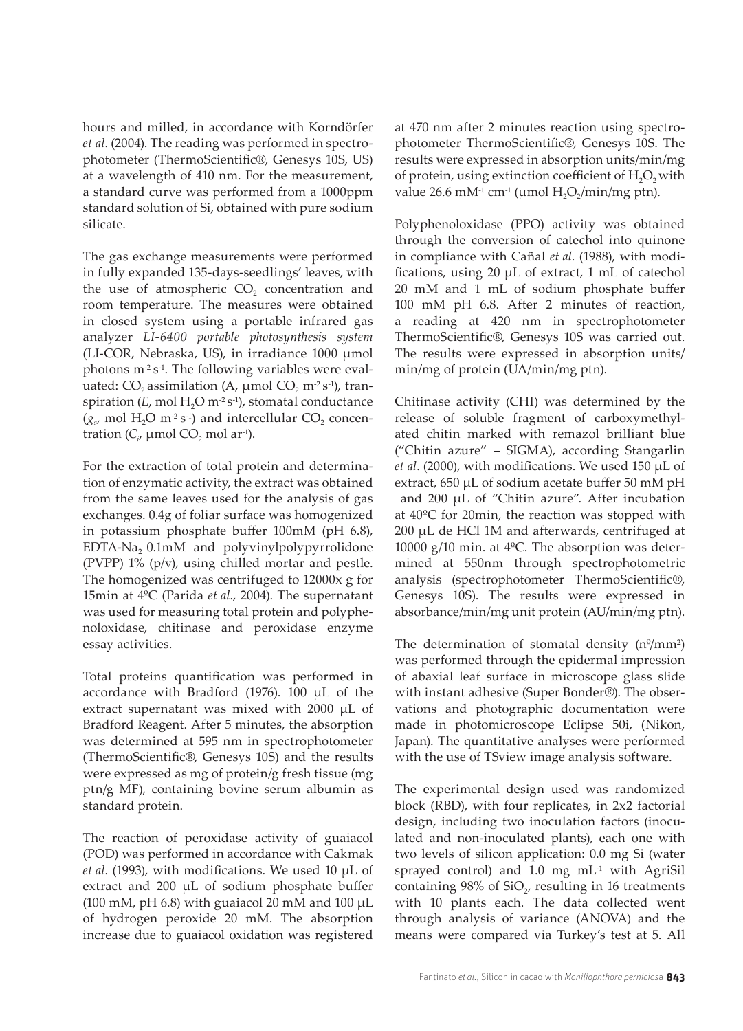hours and milled, in accordance with Korndörfer *et al*. (2004). The reading was performed in spectrophotometer (ThermoScientific®, Genesys 10S, US) at a wavelength of 410 nm. For the measurement, a standard curve was performed from a 1000ppm standard solution of Si, obtained with pure sodium silicate.

The gas exchange measurements were performed in fully expanded 135-days-seedlings' leaves, with the use of atmospheric CO<sub>2</sub> concentration and room temperature. The measures were obtained in closed system using a portable infrared gas analyzer *LI-6400 portable photosynthesis system* (LI-COR, Nebraska, US), in irradiance 1000 μmol photons  $m^2 s^{-1}$ . The following variables were evaluated: CO<sub>2</sub> assimilation (A,  $\mu$ mol CO<sub>2</sub> m<sup>-2</sup> s<sup>-1</sup>), transpiration (*E*, mol H<sub>2</sub>O m<sup>-2</sup> s<sup>-1</sup>), stomatal conductance  $(g<sub>s</sub>$  mol H<sub>2</sub>O m<sup>-2</sup> s<sup>-1</sup>) and intercellular CO<sub>2</sub> concentration ( $C_i$ , µmol CO<sub>2</sub> mol ar<sup>1</sup>).

For the extraction of total protein and determination of enzymatic activity, the extract was obtained from the same leaves used for the analysis of gas exchanges. 0.4g of foliar surface was homogenized in potassium phosphate buffer 100mM (pH 6.8), EDTA-Na<sub>2</sub> 0.1mM and polyvinylpolypyrrolidone (PVPP) 1% (p/v), using chilled mortar and pestle. The homogenized was centrifuged to 12000x g for 15min at 4ºC (Parida *et al*., 2004). The supernatant was used for measuring total protein and polyphenoloxidase, chitinase and peroxidase enzyme essay activities.

Total proteins quantification was performed in accordance with Bradford (1976). 100 µL of the extract supernatant was mixed with 2000 µL of Bradford Reagent. After 5 minutes, the absorption was determined at 595 nm in spectrophotometer (ThermoScientific®, Genesys 10S) and the results were expressed as mg of protein/g fresh tissue (mg ptn/g MF), containing bovine serum albumin as standard protein.

The reaction of peroxidase activity of guaiacol (POD) was performed in accordance with Cakmak *et al*. (1993), with modifications. We used 10 µL of extract and 200 µL of sodium phosphate buffer (100 mM, pH 6.8) with guaiacol 20 mM and 100  $\mu$ L of hydrogen peroxide 20 mM. The absorption increase due to guaiacol oxidation was registered

at 470 nm after 2 minutes reaction using spectrophotometer ThermoScientific®, Genesys 10S. The results were expressed in absorption units/min/mg of protein, using extinction coefficient of  $H_2O_2$  with value 26.6 mM<sup>-1</sup> cm<sup>-1</sup> (µmol  $H_2O_2/m$ in/mg ptn).

Polyphenoloxidase (PPO) activity was obtained through the conversion of catechol into quinone in compliance with Cañal *et al*. (1988), with modifications, using 20 µL of extract, 1 mL of catechol 20 mM and 1 mL of sodium phosphate buffer 100 mM pH 6.8. After 2 minutes of reaction, a reading at 420 nm in spectrophotometer ThermoScientific®, Genesys 10S was carried out. The results were expressed in absorption units/ min/mg of protein (UA/min/mg ptn).

Chitinase activity (CHI) was determined by the release of soluble fragment of carboxymethylated chitin marked with remazol brilliant blue ("Chitin azure" – SIGMA), according Stangarlin *et al*. (2000), with modifications. We used 150 µL of extract, 650 µL of sodium acetate buffer 50 mM pH and 200 µL of "Chitin azure". After incubation at 40ºC for 20min, the reaction was stopped with 200 µL de HCl 1M and afterwards, centrifuged at 10000 g/10 min. at 4ºC. The absorption was determined at 550nm through spectrophotometric analysis (spectrophotometer ThermoScientific®, Genesys 10S). The results were expressed in absorbance/min/mg unit protein (AU/min/mg ptn).

The determination of stomatal density  $(n^{\circ}/mm^2)$ was performed through the epidermal impression of abaxial leaf surface in microscope glass slide with instant adhesive (Super Bonder®). The observations and photographic documentation were made in photomicroscope Eclipse 50i, (Nikon, Japan). The quantitative analyses were performed with the use of TSview image analysis software.

The experimental design used was randomized block (RBD), with four replicates, in 2x2 factorial design, including two inoculation factors (inoculated and non-inoculated plants), each one with two levels of silicon application: 0.0 mg Si (water sprayed control) and 1.0 mg mL<sup>-1</sup> with AgriSil containing  $98\%$  of SiO<sub> $2$ </sub>, resulting in 16 treatments with 10 plants each. The data collected went through analysis of variance (ANOVA) and the means were compared via Turkey's test at 5. All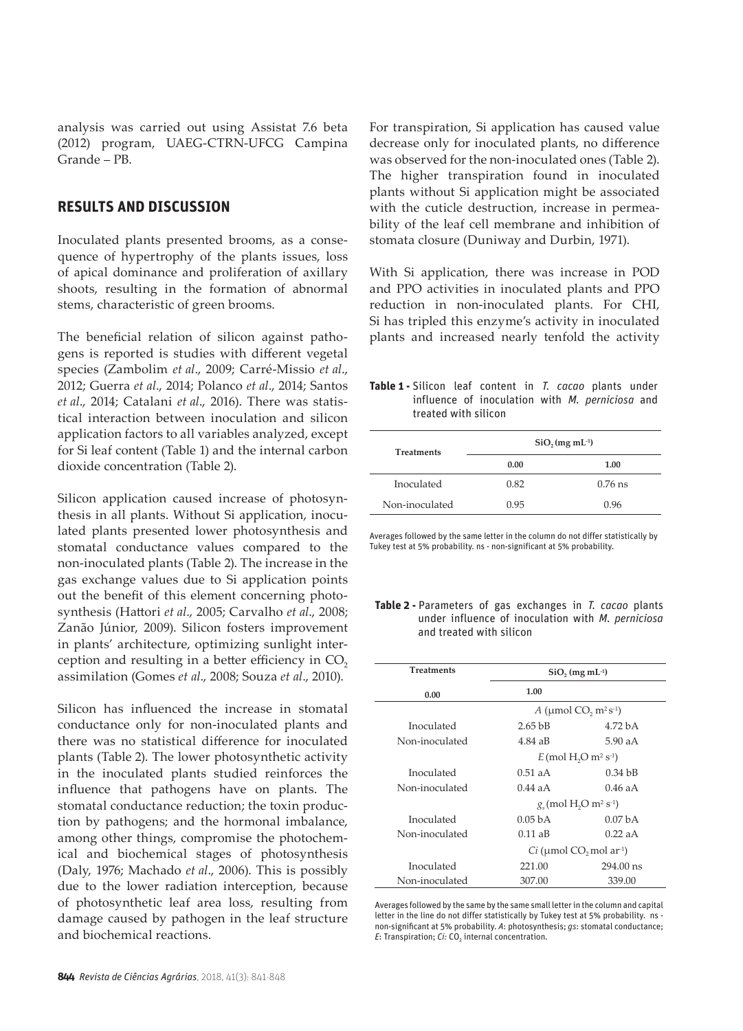analysis was carried out using Assistat 7.6 beta (2012) program, UAEG-CTRN-UFCG Campina Grande – PB.

# **RESULTS AND DISCUSSION**

Inoculated plants presented brooms, as a consequence of hypertrophy of the plants issues, loss of apical dominance and proliferation of axillary shoots, resulting in the formation of abnormal stems, characteristic of green brooms.

The beneficial relation of silicon against pathogens is reported is studies with different vegetal species (Zambolim *et al*., 2009; Carré-Missio *et al*., 2012; Guerra *et al*., 2014; Polanco *et al*., 2014; Santos *et al*., 2014; Catalani *et al*., 2016). There was statistical interaction between inoculation and silicon application factors to all variables analyzed, except for Si leaf content (Table 1) and the internal carbon dioxide concentration (Table 2).

Silicon application caused increase of photosynthesis in all plants. Without Si application, inoculated plants presented lower photosynthesis and stomatal conductance values compared to the non-inoculated plants (Table 2). The increase in the gas exchange values due to Si application points out the benefit of this element concerning photosynthesis (Hattori *et al*., 2005; Carvalho *et al*., 2008; Zanão Júnior, 2009). Silicon fosters improvement in plants' architecture, optimizing sunlight interception and resulting in a better efficiency in CO<sub>2</sub> assimilation (Gomes *et al*., 2008; Souza *et al*., 2010).

Silicon has influenced the increase in stomatal conductance only for non-inoculated plants and there was no statistical difference for inoculated plants (Table 2). The lower photosynthetic activity in the inoculated plants studied reinforces the influence that pathogens have on plants. The stomatal conductance reduction; the toxin production by pathogens; and the hormonal imbalance, among other things, compromise the photochemical and biochemical stages of photosynthesis (Daly, 1976; Machado *et al*., 2006). This is possibly due to the lower radiation interception, because of photosynthetic leaf area loss, resulting from damage caused by pathogen in the leaf structure and biochemical reactions.

For transpiration, Si application has caused value decrease only for inoculated plants, no difference was observed for the non-inoculated ones (Table 2). The higher transpiration found in inoculated plants without Si application might be associated with the cuticle destruction, increase in permeability of the leaf cell membrane and inhibition of stomata closure (Duniway and Durbin, 1971).

With Si application, there was increase in POD and PPO activities in inoculated plants and PPO reduction in non-inoculated plants. For CHI, Si has tripled this enzyme's activity in inoculated plants and increased nearly tenfold the activity

**Table 1 -** Silicon leaf content in *T. cacao* plants under influence of inoculation with *M. perniciosa* and treated with silicon

| <b>Treatments</b> | $SiO$ , $(mg \, mL^{-1})$ |           |  |
|-------------------|---------------------------|-----------|--|
|                   | 0.00                      | 1.00      |  |
| Inoculated        | 0.82                      | $0.76$ ns |  |
| Non-inoculated    | 0.95                      | 0.96      |  |

Averages followed by the same letter in the column do not differ statistically by Tukey test at 5% probability. ns - non-significant at 5% probability.

|                          |  | Table 2 - Parameters of gas exchanges in T. cacao plants |  |  |  |
|--------------------------|--|----------------------------------------------------------|--|--|--|
|                          |  | under influence of inoculation with <i>M. perniciosa</i> |  |  |  |
| and treated with silicon |  |                                                          |  |  |  |

| <b>Treatments</b> | $SiO$ , $(mg \, mL^{-1})$ |                                                                |
|-------------------|---------------------------|----------------------------------------------------------------|
| 0.00              | 1.00                      |                                                                |
|                   |                           | A ( $\mu$ mol CO <sub>2</sub> m <sup>2</sup> s <sup>-1</sup> ) |
| Inoculated        | 2.65 <sub>bB</sub>        | 4.72 <sub>b</sub> A                                            |
| Non-inoculated    | 4.84 aB                   | 5.90aA                                                         |
|                   |                           | $E \text{ (mol H, O m}^2 \text{ s}^{-1})$                      |
| Inoculated        | $0.51$ aA                 | 0.34 <sub>bB</sub>                                             |
| Non-inoculated    | $0.44$ a A                | $0.46$ a A                                                     |
|                   |                           | $g_c$ (mol H <sub>2</sub> O m <sup>2</sup> s <sup>-1</sup> )   |
| Inoculated        | 0.05 <sub>bA</sub>        | 0.07 <sub>b</sub> A                                            |
| Non-inoculated    | $0.11 \text{ aB}$         | $0.22$ aA                                                      |
|                   |                           | $Ci$ (µmol CO <sub>2</sub> mol ar <sup>-1</sup> )              |
| Inoculated        | 221.00                    | $294.00$ ns                                                    |
| Non-inoculated    | 307.00                    | 339.00                                                         |

Averages followed by the same by the same small letter in the column and capital letter in the line do not differ statistically by Tukey test at 5% probability. ns non-significant at 5% probability. *A*: photosynthesis; *gs*: stomatal conductance; *E*: Transpiration; *Ci:* CO<sub>2</sub> internal concentration.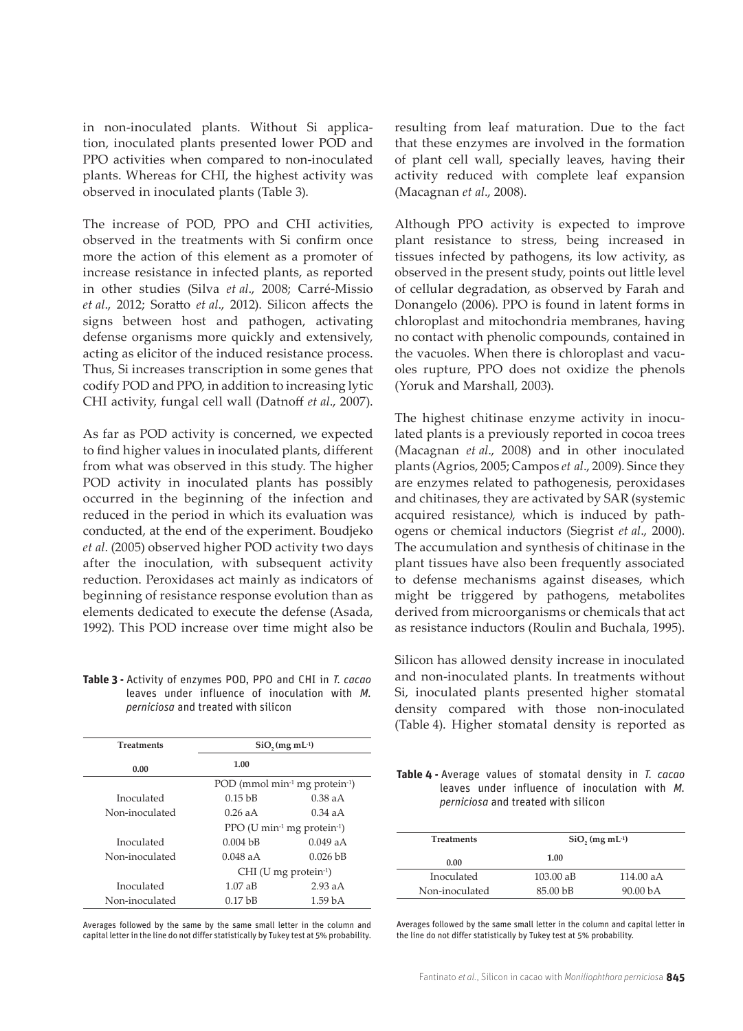in non-inoculated plants. Without Si application, inoculated plants presented lower POD and PPO activities when compared to non-inoculated plants. Whereas for CHI, the highest activity was observed in inoculated plants (Table 3).

The increase of POD, PPO and CHI activities, observed in the treatments with Si confirm once more the action of this element as a promoter of increase resistance in infected plants, as reported in other studies (Silva *et al*., 2008; Carré-Missio *et al*., 2012; Soratto *et al*., 2012). Silicon affects the signs between host and pathogen, activating defense organisms more quickly and extensively, acting as elicitor of the induced resistance process. Thus, Si increases transcription in some genes that codify POD and PPO, in addition to increasing lytic CHI activity, fungal cell wall (Datnoff *et al*., 2007).

As far as POD activity is concerned, we expected to find higher values in inoculated plants, different from what was observed in this study. The higher POD activity in inoculated plants has possibly occurred in the beginning of the infection and reduced in the period in which its evaluation was conducted, at the end of the experiment. Boudjeko *et al*. (2005) observed higher POD activity two days after the inoculation, with subsequent activity reduction. Peroxidases act mainly as indicators of beginning of resistance response evolution than as elements dedicated to execute the defense (Asada, 1992). This POD increase over time might also be

**Table 3 -** Activity of enzymes POD, PPO and CHI in *T. cacao* leaves under influence of inoculation with *M. perniciosa* and treated with silicon

| <b>Treatments</b> | $SiO$ , $(mg \, mL^{-1})$  |                                                        |
|-------------------|----------------------------|--------------------------------------------------------|
| 0.00              | 1.00                       |                                                        |
|                   |                            | POD (mmol min <sup>-1</sup> mg protein <sup>-1</sup> ) |
| Inoculated        | $0.15$ bB                  | $0.38$ aA                                              |
| Non-inoculated    | 0.26 a A                   | $0.34$ a A                                             |
|                   |                            | PPO (U min-1 mg protein-1)                             |
| Inoculated        | $0.004$ bB                 | 0.049aA                                                |
| Non-inoculated    | $0.048$ a A                | $0.026$ bB                                             |
|                   | $CHI$ (U mg protein $-1$ ) |                                                        |
| Inoculated        | 1.07aB                     | 2.93aA                                                 |
| Non-inoculated    | $0.17$ bB                  | 1.59 <sub>bA</sub>                                     |

Averages followed by the same by the same small letter in the column and capital letter in the line do not differ statistically by Tukey test at 5% probability. resulting from leaf maturation. Due to the fact that these enzymes are involved in the formation of plant cell wall, specially leaves, having their activity reduced with complete leaf expansion (Macagnan *et al*., 2008).

Although PPO activity is expected to improve plant resistance to stress, being increased in tissues infected by pathogens, its low activity, as observed in the present study, points out little level of cellular degradation, as observed by Farah and Donangelo (2006). PPO is found in latent forms in chloroplast and mitochondria membranes, having no contact with phenolic compounds, contained in the vacuoles. When there is chloroplast and vacuoles rupture, PPO does not oxidize the phenols (Yoruk and Marshall, 2003).

The highest chitinase enzyme activity in inoculated plants is a previously reported in cocoa trees (Macagnan *et al*., 2008) and in other inoculated plants (Agrios, 2005; Campos *et al*., 2009). Since they are enzymes related to pathogenesis, peroxidases and chitinases, they are activated by SAR (systemic acquired resistance*)*, which is induced by pathogens or chemical inductors (Siegrist *et al*., 2000). The accumulation and synthesis of chitinase in the plant tissues have also been frequently associated to defense mechanisms against diseases, which might be triggered by pathogens, metabolites derived from microorganisms or chemicals that act as resistance inductors (Roulin and Buchala, 1995).

Silicon has allowed density increase in inoculated and non-inoculated plants. In treatments without Si, inoculated plants presented higher stomatal density compared with those non-inoculated (Table 4). Higher stomatal density is reported as

**Table 4 -** Average values of stomatal density in *T. cacao*  leaves under influence of inoculation with *M. perniciosa* and treated with silicon

| <b>Treatments</b> | $SiO$ , $(mg mL-1)$ |                      |  |
|-------------------|---------------------|----------------------|--|
| 0.00              | 1.00                |                      |  |
| Inoculated        | $103.00 \text{ a}B$ | 114.00 aA            |  |
| Non-inoculated    | 85.00 <sub>bB</sub> | 90.00 <sub>b</sub> A |  |

Averages followed by the same small letter in the column and capital letter in the line do not differ statistically by Tukey test at 5% probability.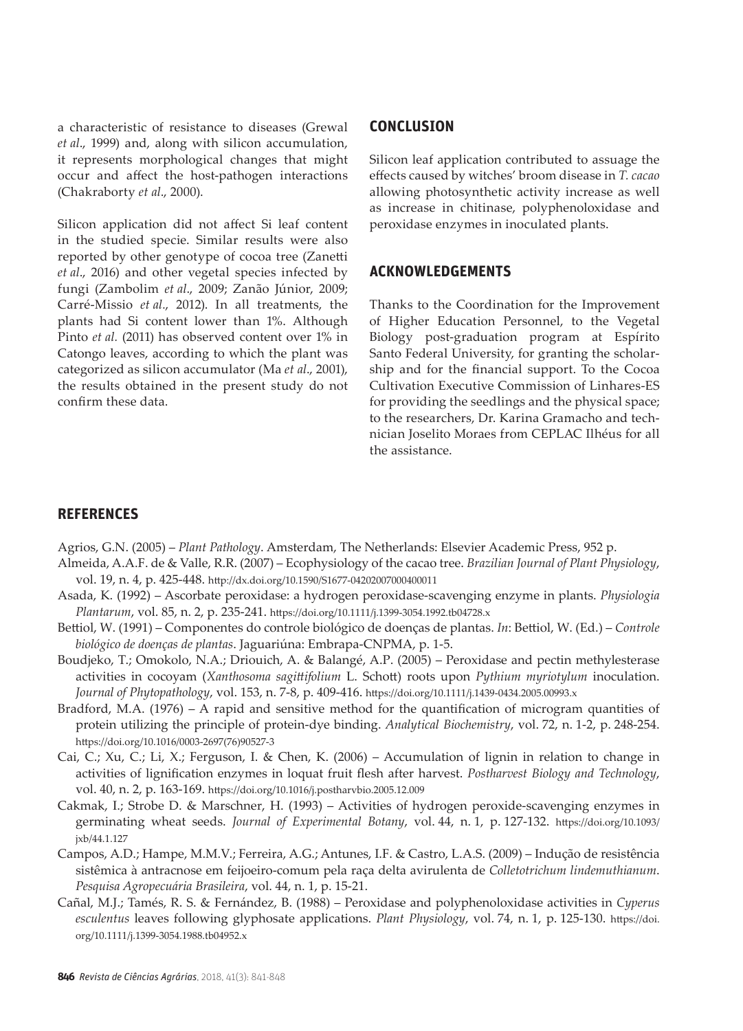a characteristic of resistance to diseases (Grewal *et al*., 1999) and, along with silicon accumulation, it represents morphological changes that might occur and affect the host-pathogen interactions (Chakraborty *et al*., 2000).

Silicon application did not affect Si leaf content in the studied specie. Similar results were also reported by other genotype of cocoa tree (Zanetti *et al*., 2016) and other vegetal species infected by fungi (Zambolim *et al*., 2009; Zanão Júnior, 2009; Carré-Missio *et al.*, 2012). In all treatments, the plants had Si content lower than 1%. Although Pinto *et al.* (2011) has observed content over 1% in Catongo leaves, according to which the plant was categorized as silicon accumulator (Ma *et al*., 2001), the results obtained in the present study do not confirm these data.

### **CONCLUSION**

Silicon leaf application contributed to assuage the effects caused by witches' broom disease in *T. cacao* allowing photosynthetic activity increase as well as increase in chitinase, polyphenoloxidase and peroxidase enzymes in inoculated plants.

#### **ACKNOWLEDGEMENTS**

Thanks to the Coordination for the Improvement of Higher Education Personnel, to the Vegetal Biology post-graduation program at Espírito Santo Federal University, for granting the scholarship and for the financial support. To the Cocoa Cultivation Executive Commission of Linhares-ES for providing the seedlings and the physical space; to the researchers, Dr. Karina Gramacho and technician Joselito Moraes from CEPLAC Ilhéus for all the assistance.

#### **REFERENCES**

Agrios, G.N. (2005) – *Plant Pathology*. Amsterdam, The Netherlands: Elsevier Academic Press, 952 p.

- Almeida, A.A.F. de & Valle, R.R. (2007) Ecophysiology of the cacao tree. *Brazilian Journal of Plant Physiology*, vol. 19, n. 4, p. 425-448. http://dx.doi.org/10.1590/S1677-04202007000400011
- Asada, K. (1992) Ascorbate peroxidase: a hydrogen peroxidase-scavenging enzyme in plants. *Physiologia Plantarum*, vol. 85, n. 2, p. 235-241. https://doi.org/10.1111/j.1399-3054.1992.tb04728.x
- Bettiol, W. (1991) Componentes do controle biológico de doenças de plantas. *In*: Bettiol, W. (Ed.) *Controle biológico de doenças de plantas*. Jaguariúna: Embrapa-CNPMA, p. 1-5.
- Boudjeko, T.; Omokolo, N.A.; Driouich, A. & Balangé, A.P. (2005) Peroxidase and pectin methylesterase activities in cocoyam (*Xanthosoma sagittifolium* L. Schott) roots upon *Pythium myriotylum* inoculation. *Journal of Phytopathology*, vol. 153, n. 7-8, p. 409-416. https://doi.org/10.1111/j.1439-0434.2005.00993.x
- Bradford, M.A. (1976) A rapid and sensitive method for the quantification of microgram quantities of protein utilizing the principle of protein-dye binding. *Analytical Biochemistry*, vol. 72, n. 1-2, p. 248-254. https://doi.org/10.1016/0003-2697(76)90527-3
- Cai, C.; Xu, C.; Li, X.; Ferguson, I. & Chen, K. (2006) Accumulation of lignin in relation to change in activities of lignification enzymes in loquat fruit flesh after harvest. *Postharvest Biology and Technology*, vol. 40, n. 2, p. 163-169. https://doi.org/10.1016/j.postharvbio.2005.12.009
- Cakmak, I.; Strobe D. & Marschner, H. (1993) Activities of hydrogen peroxide-scavenging enzymes in germinating wheat seeds. *Journal of Experimental Botany*, vol. 44, n. 1, p. 127-132. https://doi.org/10.1093/ jxb/44.1.127
- Campos, A.D.; Hampe, M.M.V.; Ferreira, A.G.; Antunes, I.F. & Castro, L.A.S. (2009) Indução de resistência sistêmica à antracnose em feijoeiro-comum pela raça delta avirulenta de *Colletotrichum lindemuthianum*. *Pesquisa Agropecuária Brasileira*, vol. 44, n. 1, p. 15-21.
- Cañal, M.J.; Tamés, R. S. & Fernández, B. (1988) Peroxidase and polyphenoloxidase activities in *Cyperus esculentus* leaves following glyphosate applications. *Plant Physiology*, vol. 74, n. 1, p. 125-130. https://doi. org/10.1111/j.1399-3054.1988.tb04952.x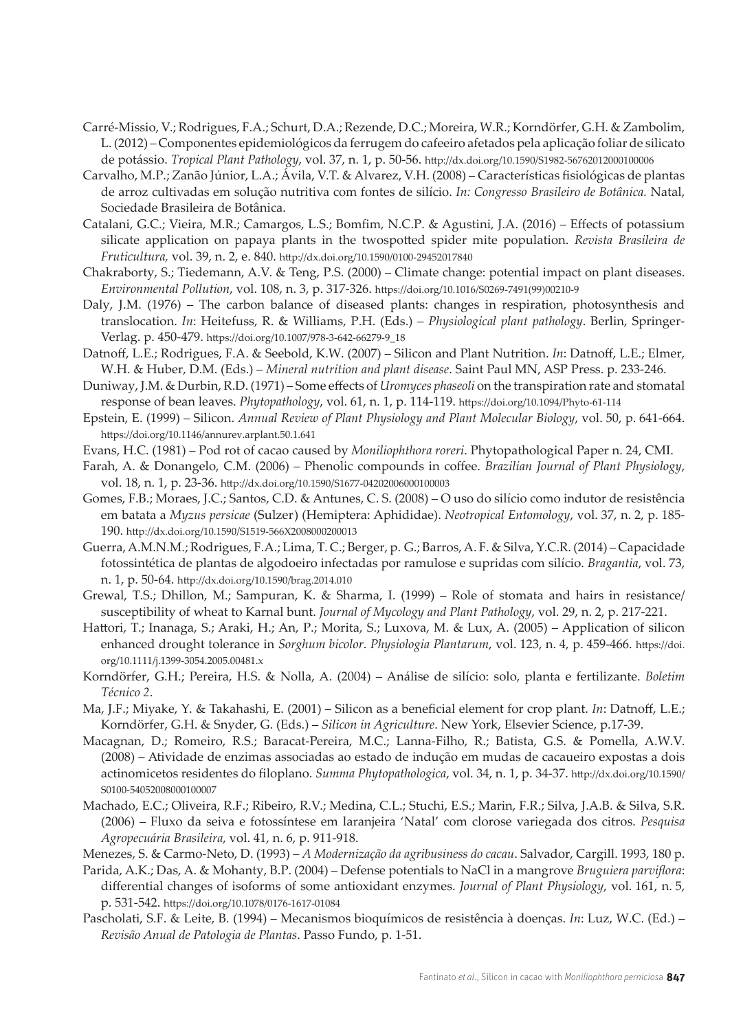- Carré-Missio, V.; Rodrigues, F.A.; Schurt, D.A.; Rezende, D.C.; Moreira, W.R.; Korndörfer, G.H. & Zambolim, L. (2012) – Componentes epidemiológicos da ferrugem do cafeeiro afetados pela aplicação foliar de silicato de potássio. *Tropical Plant Pathology*, vol. 37, n. 1, p. 50-56. http://dx.doi.org/10.1590/S1982-56762012000100006
- Carvalho, M.P.; Zanão Júnior, L.A.; Ávila, V.T. & Alvarez, V.H. (2008) Características fisiológicas de plantas de arroz cultivadas em solução nutritiva com fontes de silício. *In: Congresso Brasileiro de Botânica.* Natal, Sociedade Brasileira de Botânica.
- Catalani, G.C.; Vieira, M.R.; Camargos, L.S.; Bomfim, N.C.P. & Agustini, J.A. (2016) Effects of potassium silicate application on papaya plants in the twospotted spider mite population. *Revista Brasileira de Fruticultura,* vol. 39, n. 2, e. 840. http://dx.doi.org/10.1590/0100-29452017840
- Chakraborty, S.; Tiedemann, A.V. & Teng, P.S. (2000) Climate change: potential impact on plant diseases. *Environmental Pollution*, vol. 108, n. 3, p. 317-326. https://doi.org/10.1016/S0269-7491(99)00210-9
- Daly, J.M. (1976) The carbon balance of diseased plants: changes in respiration, photosynthesis and translocation. *In*: Heitefuss, R. & Williams, P.H. (Eds.) – *Physiological plant pathology*. Berlin, Springer-Verlag. p. 450-479. https://doi.org/10.1007/978-3-642-66279-9\_18
- Datnoff, L.E.; Rodrigues, F.A. & Seebold, K.W. (2007) Silicon and Plant Nutrition. *In*: Datnoff, L.E.; Elmer, W.H. & Huber, D.M. (Eds.) – *Mineral nutrition and plant disease*. Saint Paul MN, ASP Press. p. 233-246.
- Duniway, J.M. & Durbin, R.D. (1971) Some effects of *Uromyces phaseoli* on the transpiration rate and stomatal response of bean leaves. *Phytopathology*, vol. 61, n. 1, p. 114-119. https://doi.org/10.1094/Phyto-61-114
- Epstein, E. (1999) Silicon. *Annual Review of Plant Physiology and Plant Molecular Biology*, vol. 50, p. 641-664. https://doi.org/10.1146/annurev.arplant.50.1.641
- Evans, H.C. (1981) Pod rot of cacao caused by *Moniliophthora roreri*. Phytopathological Paper n. 24, CMI.
- Farah, A. & Donangelo, C.M. (2006) Phenolic compounds in coffee. *Brazilian Journal of Plant Physiology*, vol. 18, n. 1, p. 23-36. http://dx.doi.org/10.1590/S1677-04202006000100003
- Gomes, F.B.; Moraes, J.C.; Santos, C.D. & Antunes, C. S. (2008) O uso do silício como indutor de resistência em batata a *Myzus persicae* (Sulzer) (Hemiptera: Aphididae). *Neotropical Entomology*, vol. 37, n. 2, p. 185- 190. http://dx.doi.org/10.1590/S1519-566X2008000200013
- Guerra, A.M.N.M.; Rodrigues, F.A.; Lima, T. C.; Berger, p. G.; Barros, A. F. & Silva, Y.C.R. (2014) Capacidade fotossintética de plantas de algodoeiro infectadas por ramulose e supridas com silício. *Bragantia*, vol. 73, n. 1, p. 50-64. http://dx.doi.org/10.1590/brag.2014.010
- Grewal, T.S.; Dhillon, M.; Sampuran, K. & Sharma, I. (1999) Role of stomata and hairs in resistance/ susceptibility of wheat to Karnal bunt. *Journal of Mycology and Plant Pathology*, vol. 29, n. 2, p. 217-221.
- Hattori, T.; Inanaga, S.; Araki, H.; An, P.; Morita, S.; Luxova, M. & Lux, A. (2005) Application of silicon enhanced drought tolerance in *Sorghum bicolor*. *Physiologia Plantarum*, vol. 123, n. 4, p. 459-466. https://doi. org/10.1111/j.1399-3054.2005.00481.x
- Korndörfer, G.H.; Pereira, H.S. & Nolla, A. (2004) Análise de silício: solo, planta e fertilizante. *Boletim Técnico 2*.
- Ma, J.F.; Miyake, Y. & Takahashi, E. (2001) Silicon as a beneficial element for crop plant. *In*: Datnoff, L.E.; Korndörfer, G.H. & Snyder, G. (Eds.) – *Silicon in Agriculture*. New York, Elsevier Science, p.17-39.
- Macagnan, D.; Romeiro, R.S.; Baracat-Pereira, M.C.; Lanna-Filho, R.; Batista, G.S. & Pomella, A.W.V. (2008) – Atividade de enzimas associadas ao estado de indução em mudas de cacaueiro expostas a dois actinomicetos residentes do filoplano. *Summa Phytopathologica*, vol. 34, n. 1, p. 34-37. http://dx.doi.org/10.1590/ S0100-54052008000100007
- Machado, E.C.; Oliveira, R.F.; Ribeiro, R.V.; Medina, C.L.; Stuchi, E.S.; Marin, F.R.; Silva, J.A.B. & Silva, S.R. (2006) – Fluxo da seiva e fotossíntese em laranjeira 'Natal' com clorose variegada dos citros. *Pesquisa Agropecuária Brasileira*, vol. 41, n. 6, p. 911-918.

Menezes, S. & Carmo-Neto, D. (1993) – *A Modernização da agribusiness do cacau*. Salvador, Cargill. 1993, 180 p.

- Parida, A.K.; Das, A. & Mohanty, B.P. (2004) Defense potentials to NaCl in a mangrove *Bruguiera parviflora*: differential changes of isoforms of some antioxidant enzymes. *Journal of Plant Physiology*, vol. 161, n. 5, p. 531-542. https://doi.org/10.1078/0176-1617-01084
- Pascholati, S.F. & Leite, B. (1994) Mecanismos bioquímicos de resistência à doenças. *In*: Luz, W.C. (Ed.) *Revisão Anual de Patologia de Plantas*. Passo Fundo, p. 1-51.